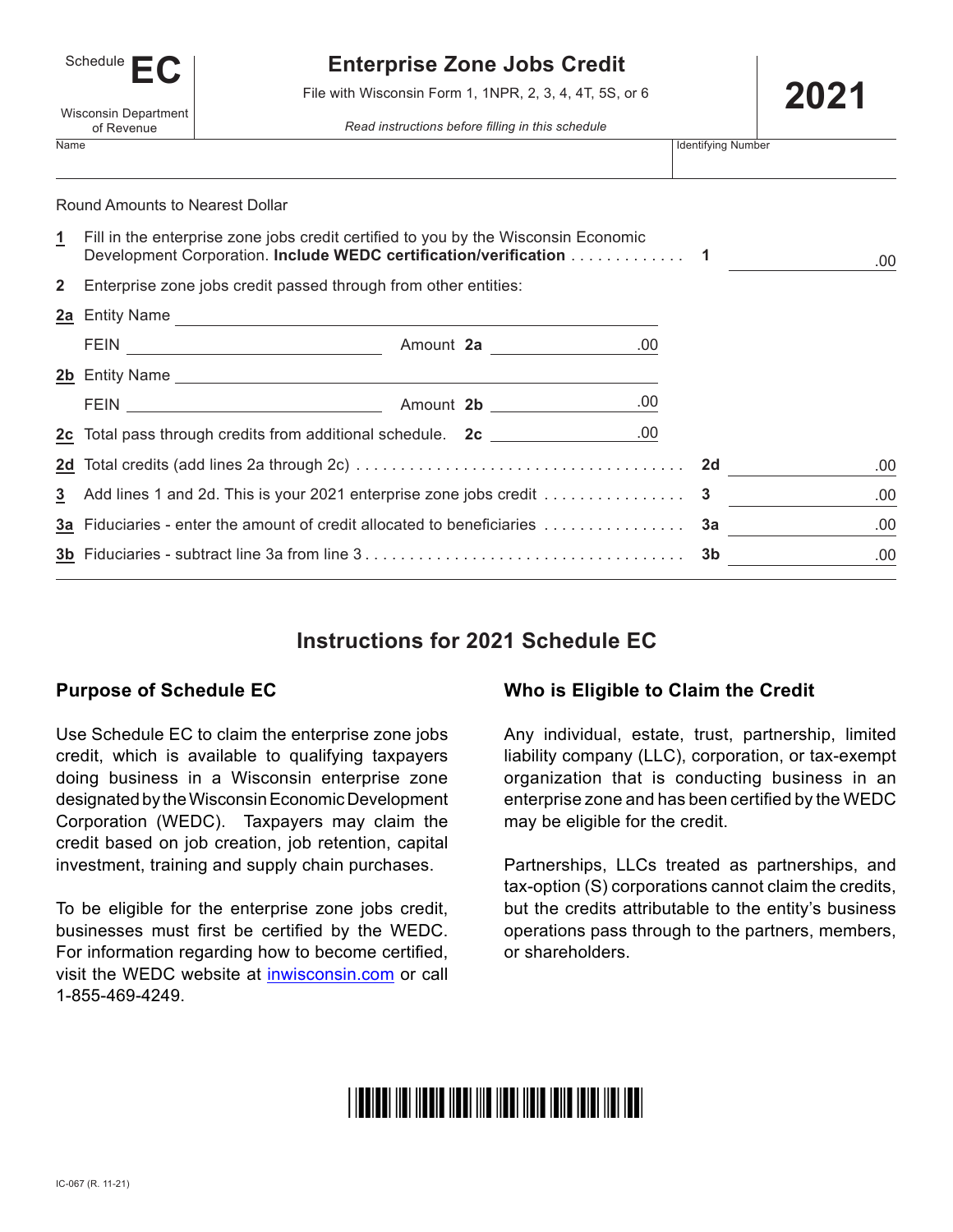| Schedule                           |  |  |  |  |  |
|------------------------------------|--|--|--|--|--|
| Wisconsin Department<br>of Revenue |  |  |  |  |  |
|                                    |  |  |  |  |  |

# **Enterprise Zone Jobs Credit**

**2021** File with Wisconsin Form 1, 1NPR, 2, 3, 4, 4T, 5S, or 6

*Read instructions before filling in this schedule*

|              | <u>on indecime</u>                                                     |                                                                                                                                                          |      |                           |     |
|--------------|------------------------------------------------------------------------|----------------------------------------------------------------------------------------------------------------------------------------------------------|------|---------------------------|-----|
| Name         |                                                                        |                                                                                                                                                          |      | <b>Identifying Number</b> |     |
|              | Round Amounts to Nearest Dollar                                        |                                                                                                                                                          |      |                           |     |
| 1            |                                                                        | Fill in the enterprise zone jobs credit certified to you by the Wisconsin Economic<br>Development Corporation. Include WEDC certification/verification 1 |      |                           | .00 |
| $\mathbf{2}$ |                                                                        | Enterprise zone jobs credit passed through from other entities:                                                                                          |      |                           |     |
|              |                                                                        | 2a Entity Name                                                                                                                                           |      |                           |     |
|              |                                                                        |                                                                                                                                                          |      |                           |     |
|              |                                                                        | 2b Entity Name                                                                                                                                           |      |                           |     |
|              |                                                                        |                                                                                                                                                          |      |                           |     |
|              |                                                                        | 2c Total pass through credits from additional schedule. 2c _________________.00                                                                          |      |                           |     |
|              |                                                                        |                                                                                                                                                          |      | 2d a                      | .00 |
| 3            |                                                                        | Add lines 1 and 2d. This is your 2021 enterprise zone jobs credit                                                                                        |      | 3                         | .00 |
|              | 3a Fiduciaries - enter the amount of credit allocated to beneficiaries |                                                                                                                                                          | За п | .00                       |     |
|              |                                                                        |                                                                                                                                                          |      | 3b                        | .00 |
|              |                                                                        |                                                                                                                                                          |      |                           |     |

# **Instructions for 2021 Schedule EC**

## **Purpose of Schedule EC**

Use Schedule EC to claim the enterprise zone jobs credit, which is available to qualifying taxpayers doing business in a Wisconsin enterprise zone designated by the Wisconsin Economic Development Corporation (WEDC). Taxpayers may claim the credit based on job creation, job retention, capital investment, training and supply chain purchases.

To be eligible for the enterprise zone jobs credit, businesses must first be certified by the WEDC. For information regarding how to become certified, visit the WEDC website at inwisconsin.com or call 1-855-469-4249.

## **Who is Eligible to Claim the Credit**

Any individual, estate, trust, partnership, limited liability company (LLC), corporation, or tax-exempt organization that is conducting business in an enterprise zone and has been certified by the WEDC may be eligible for the credit.

Partnerships, LLCs treated as partnerships, and tax-option (S) corporations cannot claim the credits, but the credits attributable to the entity's business operations pass through to the partners, members, or shareholders.

# <u> I IBBIBBI IIBI IIBBIB IIBBI IIIB IIBBI IIBIB IBIIB IBIBI IIBI IBBI</u>